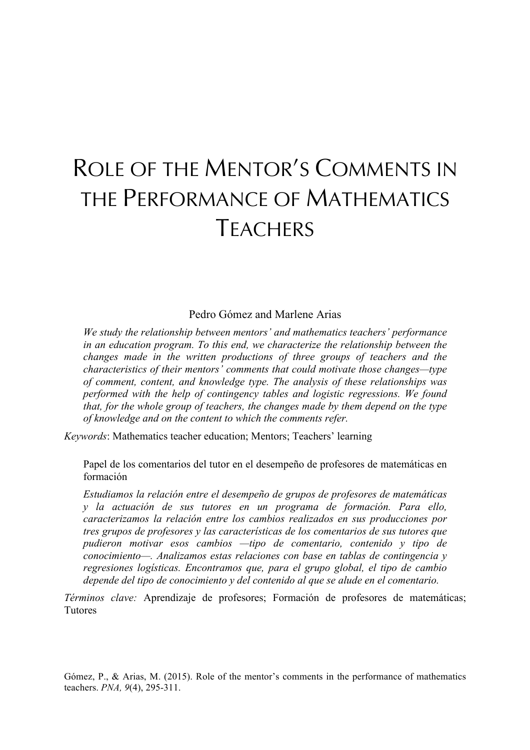# ROLE OF THE MENTOR'S COMMENTS IN THE PERFORMANCE OF MATHEMATICS **TFACHERS**

## Pedro Gómez and Marlene Arias

*We study the relationship between mentors' and mathematics teachers' performance in an education program. To this end, we characterize the relationship between the changes made in the written productions of three groups of teachers and the characteristics of their mentors' comments that could motivate those changes—type of comment, content, and knowledge type. The analysis of these relationships was performed with the help of contingency tables and logistic regressions. We found that, for the whole group of teachers, the changes made by them depend on the type of knowledge and on the content to which the comments refer.* 

*Keywords*: Mathematics teacher education; Mentors; Teachers' learning

Papel de los comentarios del tutor en el desempeño de profesores de matemáticas en formación

*Estudiamos la relación entre el desempeño de grupos de profesores de matemáticas y la actuación de sus tutores en un programa de formación. Para ello, caracterizamos la relación entre los cambios realizados en sus producciones por tres grupos de profesores y las características de los comentarios de sus tutores que pudieron motivar esos cambios —tipo de comentario, contenido y tipo de conocimiento—. Analizamos estas relaciones con base en tablas de contingencia y regresiones logísticas. Encontramos que, para el grupo global, el tipo de cambio depende del tipo de conocimiento y del contenido al que se alude en el comentario.* 

*Términos clave:* Aprendizaje de profesores; Formación de profesores de matemáticas; **Tutores** 

Gómez, P., & Arias, M. (2015). Role of the mentor's comments in the performance of mathematics teachers. *PNA, 9*(4), 295-311.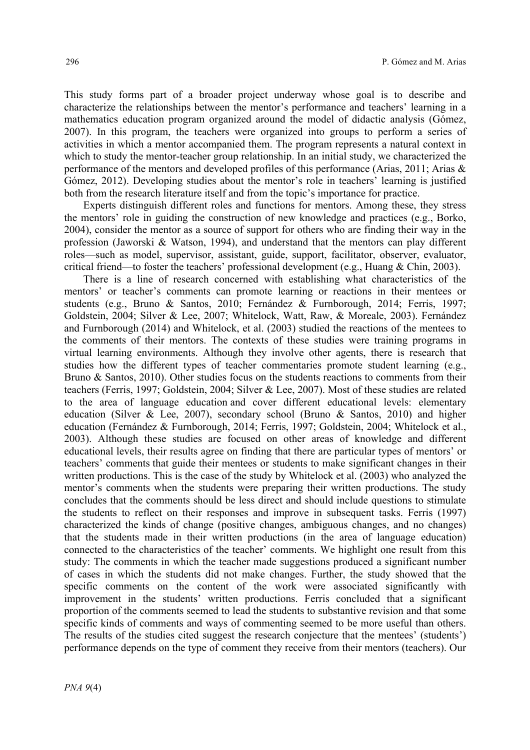This study forms part of a broader project underway whose goal is to describe and characterize the relationships between the mentor's performance and teachers' learning in a mathematics education program organized around the model of didactic analysis (Gómez, 2007). In this program, the teachers were organized into groups to perform a series of activities in which a mentor accompanied them. The program represents a natural context in which to study the mentor-teacher group relationship. In an initial study, we characterized the performance of the mentors and developed profiles of this performance (Arias, 2011; Arias & Gómez, 2012). Developing studies about the mentor's role in teachers' learning is justified both from the research literature itself and from the topic's importance for practice.

Experts distinguish different roles and functions for mentors. Among these, they stress the mentors' role in guiding the construction of new knowledge and practices (e.g., Borko, 2004), consider the mentor as a source of support for others who are finding their way in the profession (Jaworski & Watson, 1994), and understand that the mentors can play different roles—such as model, supervisor, assistant, guide, support, facilitator, observer, evaluator, critical friend—to foster the teachers' professional development (e.g., Huang  $\&$  Chin, 2003).

There is a line of research concerned with establishing what characteristics of the mentors' or teacher's comments can promote learning or reactions in their mentees or students (e.g., Bruno & Santos, 2010; Fernández & Furnborough, 2014; Ferris, 1997; Goldstein, 2004; Silver & Lee, 2007; Whitelock, Watt, Raw, & Moreale, 2003). Fernández and Furnborough (2014) and Whitelock, et al. (2003) studied the reactions of the mentees to the comments of their mentors. The contexts of these studies were training programs in virtual learning environments. Although they involve other agents, there is research that studies how the different types of teacher commentaries promote student learning (e.g., Bruno & Santos, 2010). Other studies focus on the students reactions to comments from their teachers (Ferris, 1997; Goldstein, 2004; Silver & Lee, 2007). Most of these studies are related to the area of language education and cover different educational levels: elementary education (Silver & Lee, 2007), secondary school (Bruno & Santos, 2010) and higher education (Fernández & Furnborough, 2014; Ferris, 1997; Goldstein, 2004; Whitelock et al., 2003). Although these studies are focused on other areas of knowledge and different educational levels, their results agree on finding that there are particular types of mentors' or teachers' comments that guide their mentees or students to make significant changes in their written productions. This is the case of the study by Whitelock et al. (2003) who analyzed the mentor's comments when the students were preparing their written productions. The study concludes that the comments should be less direct and should include questions to stimulate the students to reflect on their responses and improve in subsequent tasks. Ferris (1997) characterized the kinds of change (positive changes, ambiguous changes, and no changes) that the students made in their written productions (in the area of language education) connected to the characteristics of the teacher' comments. We highlight one result from this study: The comments in which the teacher made suggestions produced a significant number of cases in which the students did not make changes. Further, the study showed that the specific comments on the content of the work were associated significantly with improvement in the students' written productions. Ferris concluded that a significant proportion of the comments seemed to lead the students to substantive revision and that some specific kinds of comments and ways of commenting seemed to be more useful than others. The results of the studies cited suggest the research conjecture that the mentees' (students') performance depends on the type of comment they receive from their mentors (teachers). Our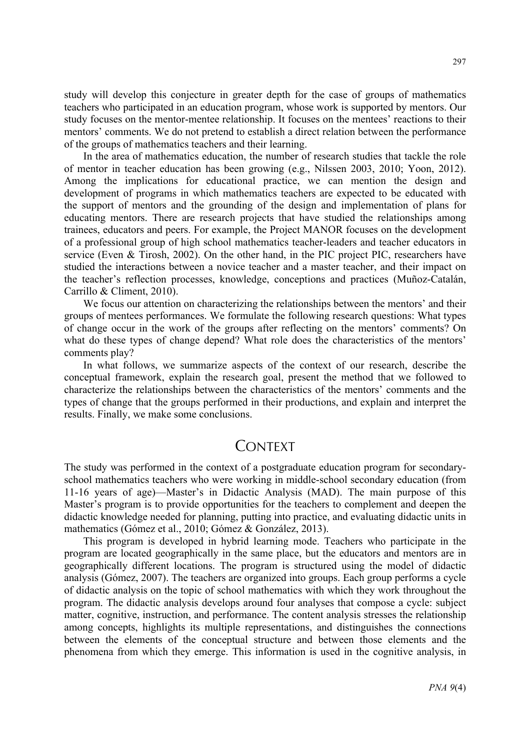study will develop this conjecture in greater depth for the case of groups of mathematics teachers who participated in an education program, whose work is supported by mentors. Our study focuses on the mentor-mentee relationship. It focuses on the mentees' reactions to their mentors' comments. We do not pretend to establish a direct relation between the performance of the groups of mathematics teachers and their learning.

In the area of mathematics education, the number of research studies that tackle the role of mentor in teacher education has been growing (e.g., Nilssen 2003, 2010; Yoon, 2012). Among the implications for educational practice, we can mention the design and development of programs in which mathematics teachers are expected to be educated with the support of mentors and the grounding of the design and implementation of plans for educating mentors. There are research projects that have studied the relationships among trainees, educators and peers. For example, the Project MANOR focuses on the development of a professional group of high school mathematics teacher-leaders and teacher educators in service (Even & Tirosh, 2002). On the other hand, in the PIC project PIC, researchers have studied the interactions between a novice teacher and a master teacher, and their impact on the teacher's reflection processes, knowledge, conceptions and practices (Muñoz-Catalán, Carrillo & Climent, 2010).

We focus our attention on characterizing the relationships between the mentors' and their groups of mentees performances. We formulate the following research questions: What types of change occur in the work of the groups after reflecting on the mentors' comments? On what do these types of change depend? What role does the characteristics of the mentors' comments play?

In what follows, we summarize aspects of the context of our research, describe the conceptual framework, explain the research goal, present the method that we followed to characterize the relationships between the characteristics of the mentors' comments and the types of change that the groups performed in their productions, and explain and interpret the results. Finally, we make some conclusions.

# **CONTEXT**

The study was performed in the context of a postgraduate education program for secondaryschool mathematics teachers who were working in middle-school secondary education (from 11-16 years of age)—Master's in Didactic Analysis (MAD). The main purpose of this Master's program is to provide opportunities for the teachers to complement and deepen the didactic knowledge needed for planning, putting into practice, and evaluating didactic units in mathematics (Gómez et al., 2010; Gómez & González, 2013).

This program is developed in hybrid learning mode. Teachers who participate in the program are located geographically in the same place, but the educators and mentors are in geographically different locations. The program is structured using the model of didactic analysis (Gómez, 2007). The teachers are organized into groups. Each group performs a cycle of didactic analysis on the topic of school mathematics with which they work throughout the program. The didactic analysis develops around four analyses that compose a cycle: subject matter, cognitive, instruction, and performance. The content analysis stresses the relationship among concepts, highlights its multiple representations, and distinguishes the connections between the elements of the conceptual structure and between those elements and the phenomena from which they emerge. This information is used in the cognitive analysis, in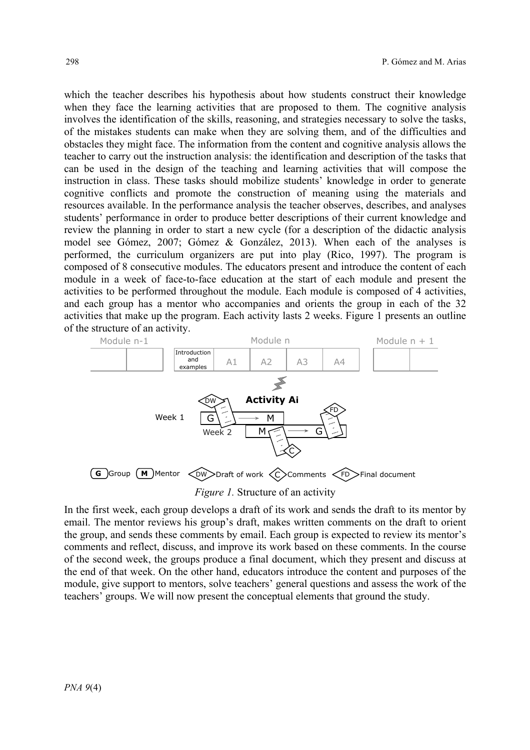which the teacher describes his hypothesis about how students construct their knowledge when they face the learning activities that are proposed to them. The cognitive analysis involves the identification of the skills, reasoning, and strategies necessary to solve the tasks, of the mistakes students can make when they are solving them, and of the difficulties and obstacles they might face. The information from the content and cognitive analysis allows the teacher to carry out the instruction analysis: the identification and description of the tasks that can be used in the design of the teaching and learning activities that will compose the instruction in class. These tasks should mobilize students' knowledge in order to generate cognitive conflicts and promote the construction of meaning using the materials and  $\frac{1}{2}$  resources available. In the performance analysis the teacher observes, describes, and analyses students' performance in order to produce better descriptions of their current knowledge and review the planning in order to start a new cycle (for a description of the didactic analysis model see Gómez, 2007; Gómez & González, 2013). When each of the analyses is performed, the curriculum organizers are put into play (Rico, 1997). The program is  $\frac{1}{2}$ composed of 8 consecutive modules. The educators present and introduce the content of each module in a week of face-to-face education at the start of each module and present the activities to be performed throughout the module. Each module is composed of 4 activities, and each group has a mentor who accompanies and orients the group in each of the 32 activities that make up the program. Each activity lasts 2 weeks. Figure 1 presents an outline activities that make up the program. Each activity lasts 2 weeks. Figure 1 presents an outline of the structure of an activity.



*Figure 1.* Structure of an activity *Figure 1.* Structure of an activity

In the first week, each group develops a draft of its work and sends the draft to its mentor by In the first week, each group develops a draft of its work and sends the draft to its mentor by email. The mentor reviews his group's draft, makes written comments on the draft to orient the group, and sends these comments by email. Each group is expected to review its mentor's the group, and sends these comments by email. Each group is expected to review its mentor's comments and reflect, discuss, and improve its work based on these comments. In the course comments and reflect, discuss, and improve its work based on these comments. In the course of the second week, the groups produce a final document, which they present and discuss at the end of that week. On the other hand, educators introduce the content and purposes of the the end of that week. On the other hand, educators introduce the content and purposes of the module, give support to mentors, solve teachers' general questions and assess the work of the module, give support to mentors, solve teachers' general questions and assess the work of the teachers' groups. We will now present the conceptual elements that ground the study. teachers' groups. We will now present the conceptual elements that ground the study.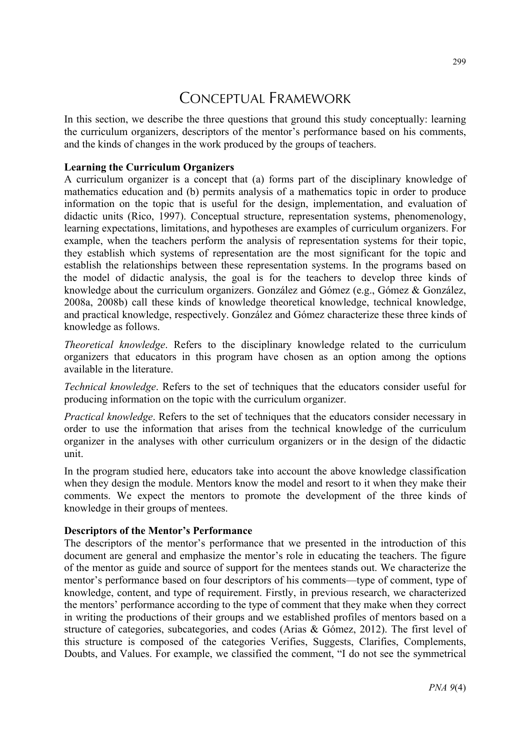# CONCEPTUAL FRAMEWORK

In this section, we describe the three questions that ground this study conceptually: learning the curriculum organizers, descriptors of the mentor's performance based on his comments, and the kinds of changes in the work produced by the groups of teachers.

## **Learning the Curriculum Organizers**

A curriculum organizer is a concept that (a) forms part of the disciplinary knowledge of mathematics education and (b) permits analysis of a mathematics topic in order to produce information on the topic that is useful for the design, implementation, and evaluation of didactic units (Rico, 1997). Conceptual structure, representation systems, phenomenology, learning expectations, limitations, and hypotheses are examples of curriculum organizers. For example, when the teachers perform the analysis of representation systems for their topic, they establish which systems of representation are the most significant for the topic and establish the relationships between these representation systems. In the programs based on the model of didactic analysis, the goal is for the teachers to develop three kinds of knowledge about the curriculum organizers. González and Gómez (e.g., Gómez & González, 2008a, 2008b) call these kinds of knowledge theoretical knowledge, technical knowledge, and practical knowledge, respectively. González and Gómez characterize these three kinds of knowledge as follows.

*Theoretical knowledge*. Refers to the disciplinary knowledge related to the curriculum organizers that educators in this program have chosen as an option among the options available in the literature.

*Technical knowledge*. Refers to the set of techniques that the educators consider useful for producing information on the topic with the curriculum organizer.

*Practical knowledge*. Refers to the set of techniques that the educators consider necessary in order to use the information that arises from the technical knowledge of the curriculum organizer in the analyses with other curriculum organizers or in the design of the didactic unit.

In the program studied here, educators take into account the above knowledge classification when they design the module. Mentors know the model and resort to it when they make their comments. We expect the mentors to promote the development of the three kinds of knowledge in their groups of mentees.

## **Descriptors of the Mentor's Performance**

The descriptors of the mentor's performance that we presented in the introduction of this document are general and emphasize the mentor's role in educating the teachers. The figure of the mentor as guide and source of support for the mentees stands out. We characterize the mentor's performance based on four descriptors of his comments—type of comment, type of knowledge, content, and type of requirement. Firstly, in previous research, we characterized the mentors' performance according to the type of comment that they make when they correct in writing the productions of their groups and we established profiles of mentors based on a structure of categories, subcategories, and codes (Arias & Gómez, 2012). The first level of this structure is composed of the categories Verifies, Suggests, Clarifies, Complements, Doubts, and Values. For example, we classified the comment, "I do not see the symmetrical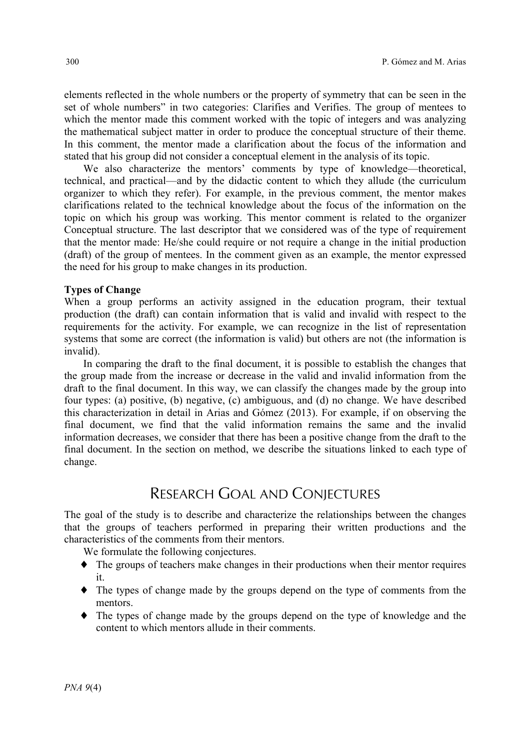elements reflected in the whole numbers or the property of symmetry that can be seen in the set of whole numbers" in two categories: Clarifies and Verifies. The group of mentees to which the mentor made this comment worked with the topic of integers and was analyzing the mathematical subject matter in order to produce the conceptual structure of their theme. In this comment, the mentor made a clarification about the focus of the information and stated that his group did not consider a conceptual element in the analysis of its topic.

We also characterize the mentors' comments by type of knowledge—theoretical, technical, and practical—and by the didactic content to which they allude (the curriculum organizer to which they refer). For example, in the previous comment, the mentor makes clarifications related to the technical knowledge about the focus of the information on the topic on which his group was working. This mentor comment is related to the organizer Conceptual structure. The last descriptor that we considered was of the type of requirement that the mentor made: He/she could require or not require a change in the initial production (draft) of the group of mentees. In the comment given as an example, the mentor expressed the need for his group to make changes in its production.

#### **Types of Change**

When a group performs an activity assigned in the education program, their textual production (the draft) can contain information that is valid and invalid with respect to the requirements for the activity. For example, we can recognize in the list of representation systems that some are correct (the information is valid) but others are not (the information is invalid).

In comparing the draft to the final document, it is possible to establish the changes that the group made from the increase or decrease in the valid and invalid information from the draft to the final document. In this way, we can classify the changes made by the group into four types: (a) positive, (b) negative, (c) ambiguous, and (d) no change. We have described this characterization in detail in Arias and Gómez (2013). For example, if on observing the final document, we find that the valid information remains the same and the invalid information decreases, we consider that there has been a positive change from the draft to the final document. In the section on method, we describe the situations linked to each type of change.

# RESEARCH GOAL AND CONJECTURES

The goal of the study is to describe and characterize the relationships between the changes that the groups of teachers performed in preparing their written productions and the characteristics of the comments from their mentors.

We formulate the following conjectures.

- ♦ The groups of teachers make changes in their productions when their mentor requires it.
- ♦ The types of change made by the groups depend on the type of comments from the mentors.
- ♦ The types of change made by the groups depend on the type of knowledge and the content to which mentors allude in their comments.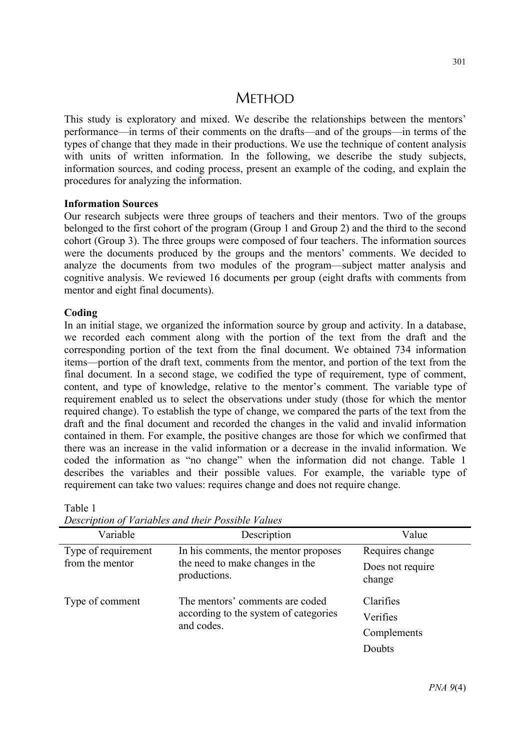# **METHOD**

This study is exploratory and mixed. We describe the relationships between the mentors' performance—in terms of their comments on the drafts—and of the groups—in terms of the types of change that they made in their productions. We use the technique of content analysis with units of written information. In the following, we describe the study subjects, information sources, and coding process, present an example of the coding, and explain the procedures for analyzing the information.

#### **Information Sources**

Our research subjects were three groups of teachers and their mentors. Two of the groups belonged to the first cohort of the program (Group 1 and Group 2) and the third to the second cohort (Group 3). The three groups were composed of four teachers. The information sources were the documents produced by the groups and the mentors' comments. We decided to analyze the documents from two modules of the program—subject matter analysis and cognitive analysis. We reviewed 16 documents per group (eight drafts with comments from mentor and eight final documents).

#### **Coding**

In an initial stage, we organized the information source by group and activity. In a database, we recorded each comment along with the portion of the text from the draft and the corresponding portion of the text from the final document. We obtained 734 information items—portion of the draft text, comments from the mentor, and portion of the text from the final document. In a second stage, we codified the type of requirement, type of comment, content, and type of knowledge, relative to the mentor's comment. The variable type of requirement enabled us to select the observations under study (those for which the mentor required change). To establish the type of change, we compared the parts of the text from the draft and the final document and recorded the changes in the valid and invalid information contained in them. For example, the positive changes are those for which we confirmed that there was an increase in the valid information or a decrease in the invalid information. We coded the information as "no change" when the information did not change. Table 1 describes the variables and their possible values. For example, the variable type of requirement can take two values: requires change and does not require change.

| Variable            | Description                                                                            | Value                      |  |  |  |  |  |
|---------------------|----------------------------------------------------------------------------------------|----------------------------|--|--|--|--|--|
| Type of requirement | In his comments, the mentor proposes                                                   | Requires change            |  |  |  |  |  |
| from the mentor     | the need to make changes in the<br>productions.                                        | Does not require<br>change |  |  |  |  |  |
| Type of comment     | The mentors' comments are coded<br>according to the system of categories<br>and codes. | Clarifies<br>Verifies      |  |  |  |  |  |
|                     |                                                                                        | Complements                |  |  |  |  |  |
|                     |                                                                                        | Doubts                     |  |  |  |  |  |

Table 1

*Description of Variables and their Possible Values*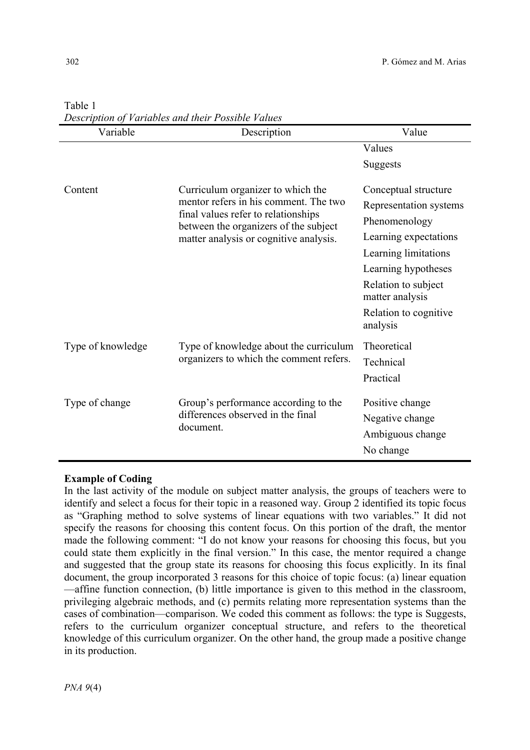| Variable          | Description                                                                  | Value                                  |  |  |
|-------------------|------------------------------------------------------------------------------|----------------------------------------|--|--|
|                   |                                                                              | Values                                 |  |  |
|                   |                                                                              | Suggests                               |  |  |
| Content           | Curriculum organizer to which the                                            | Conceptual structure                   |  |  |
|                   | mentor refers in his comment. The two                                        | Representation systems                 |  |  |
|                   | final values refer to relationships<br>between the organizers of the subject | Phenomenology                          |  |  |
|                   | matter analysis or cognitive analysis.                                       | Learning expectations                  |  |  |
|                   |                                                                              | Learning limitations                   |  |  |
|                   |                                                                              | Learning hypotheses                    |  |  |
|                   |                                                                              | Relation to subject<br>matter analysis |  |  |
|                   |                                                                              | Relation to cognitive<br>analysis      |  |  |
| Type of knowledge | Type of knowledge about the curriculum                                       | Theoretical                            |  |  |
|                   | organizers to which the comment refers.                                      | Technical                              |  |  |
|                   |                                                                              | Practical                              |  |  |
| Type of change    | Group's performance according to the                                         | Positive change                        |  |  |
|                   | differences observed in the final                                            | Negative change                        |  |  |
|                   | document.                                                                    |                                        |  |  |
|                   |                                                                              | Ambiguous change                       |  |  |
|                   |                                                                              | No change                              |  |  |

## Table 1 *Description of Variables and their Possible Values*

## **Example of Coding**

In the last activity of the module on subject matter analysis, the groups of teachers were to identify and select a focus for their topic in a reasoned way. Group 2 identified its topic focus as "Graphing method to solve systems of linear equations with two variables." It did not specify the reasons for choosing this content focus. On this portion of the draft, the mentor made the following comment: "I do not know your reasons for choosing this focus, but you could state them explicitly in the final version." In this case, the mentor required a change and suggested that the group state its reasons for choosing this focus explicitly. In its final document, the group incorporated 3 reasons for this choice of topic focus: (a) linear equation —affine function connection, (b) little importance is given to this method in the classroom, privileging algebraic methods, and (c) permits relating more representation systems than the cases of combination—comparison. We coded this comment as follows: the type is Suggests, refers to the curriculum organizer conceptual structure, and refers to the theoretical knowledge of this curriculum organizer. On the other hand, the group made a positive change in its production.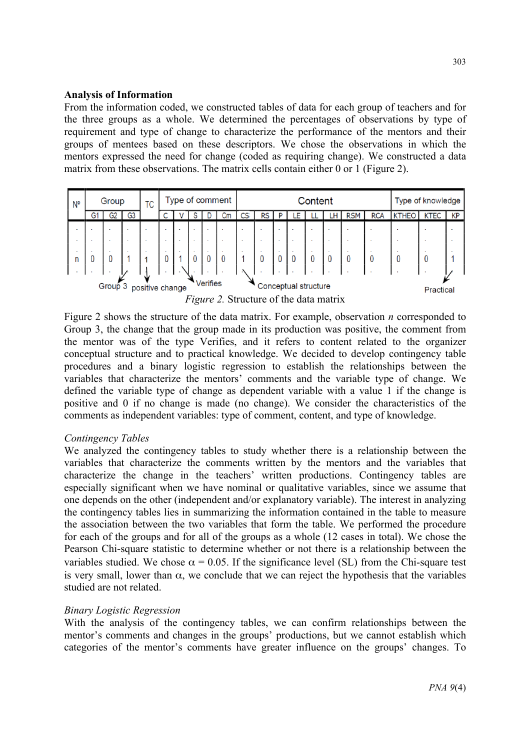#### **Analysis of Information**

From the information coded, we constructed tables of data for each group of teachers and for the three groups as a whole. We determined the percentages of observations by type of requirement and type of change to characterize the performance of the mentors and their groups of mentees based on these descriptors. We chose the observations in which the mentors expressed the need for change (coded as requiring change). We constructed a data matrix from these observations. The matrix cells contain either 0 or 1 (Figure 2).

| N°                                                                               | Type of comment<br>Group<br>ТC |        |                |  | Content                  |                |  |                |    |           | Type of knowledge |              |     |    |    |            |            |            |  |      |
|----------------------------------------------------------------------------------|--------------------------------|--------|----------------|--|--------------------------|----------------|--|----------------|----|-----------|-------------------|--------------|-----|----|----|------------|------------|------------|--|------|
|                                                                                  | G1                             | G2     | G3             |  |                          |                |  |                | Сm | CS        | RS                | P            | ۵E. | LL | LH | <b>RSM</b> | <b>RCA</b> | KTHEO KTEC |  | l KP |
|                                                                                  |                                |        | $\blacksquare$ |  | $\mathbf{r}$             | $\blacksquare$ |  | $\mathbf{r}$   |    |           | $\mathbf{r}$      | $\mathbf{r}$ |     |    |    |            |            |            |  |      |
|                                                                                  |                                |        | $\bullet$      |  | $\overline{\phantom{a}}$ | ٠              |  | $\blacksquare$ |    |           | $\bullet$         | $\sim$       |     |    |    |            |            |            |  |      |
|                                                                                  |                                | $\sim$ | $\sim$         |  | $\mathbf{r}$             | $\sim$         |  |                |    |           | $\cdot$           | $\sim$       |     |    |    |            |            |            |  |      |
| n                                                                                |                                |        |                |  |                          |                |  | 0              |    |           |                   |              |     |    |    |            |            |            |  |      |
|                                                                                  |                                |        |                |  |                          |                |  |                |    |           |                   |              |     |    |    |            |            |            |  |      |
| <b>Verifies</b><br>Group <sub>3</sub><br>Conceptual structure<br>positive change |                                |        |                |  |                          |                |  |                |    | Practical |                   |              |     |    |    |            |            |            |  |      |

*Figure 2.* Structure of the data matrix

Figure 2 shows the structure of the data matrix. For example, observation *n* corresponded to Group 3, the change that the group made in its production was positive, the comment from the mentor was of the type Verifies, and it refers to content related to the organizer conceptual structure and to practical knowledge. We decided to develop contingency table procedures and a binary logistic regression to establish the relationships between the variables that characterize the mentors' comments and the variable type of change. We defined the variable type of change as dependent variable with a value 1 if the change is positive and 0 if no change is made (no change). We consider the characteristics of the comments as independent variables: type of comment, content, and type of knowledge.

## *Contingency Tables*

We analyzed the contingency tables to study whether there is a relationship between the variables that characterize the comments written by the mentors and the variables that characterize the change in the teachers' written productions. Contingency tables are especially significant when we have nominal or qualitative variables, since we assume that one depends on the other (independent and/or explanatory variable). The interest in analyzing the contingency tables lies in summarizing the information contained in the table to measure the association between the two variables that form the table. We performed the procedure for each of the groups and for all of the groups as a whole (12 cases in total). We chose the Pearson Chi-square statistic to determine whether or not there is a relationship between the variables studied. We chose  $\alpha = 0.05$ . If the significance level (SL) from the Chi-square test is very small, lower than  $\alpha$ , we conclude that we can reject the hypothesis that the variables studied are not related.

## *Binary Logistic Regression*

With the analysis of the contingency tables, we can confirm relationships between the mentor's comments and changes in the groups' productions, but we cannot establish which categories of the mentor's comments have greater influence on the groups' changes. To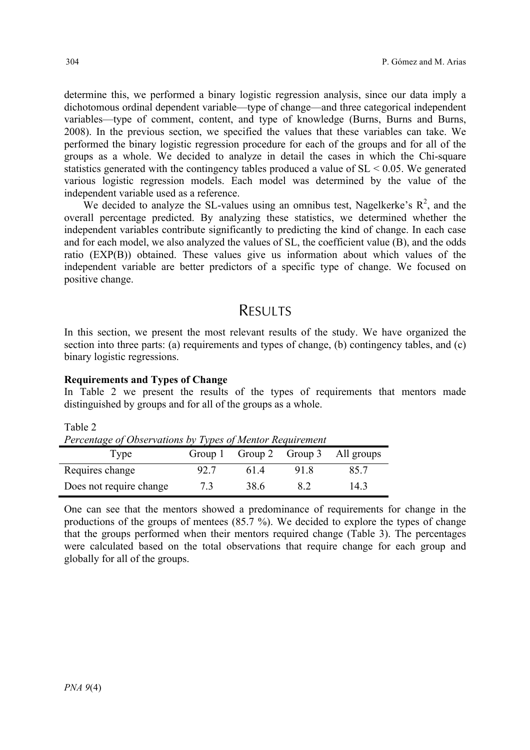determine this, we performed a binary logistic regression analysis, since our data imply a dichotomous ordinal dependent variable—type of change—and three categorical independent variables—type of comment, content, and type of knowledge (Burns, Burns and Burns, 2008). In the previous section, we specified the values that these variables can take. We performed the binary logistic regression procedure for each of the groups and for all of the groups as a whole. We decided to analyze in detail the cases in which the Chi-square statistics generated with the contingency tables produced a value of SL < 0.05. We generated various logistic regression models. Each model was determined by the value of the independent variable used as a reference.

We decided to analyze the SL-values using an omnibus test, Nagelkerke's  $\mathbb{R}^2$ , and the overall percentage predicted. By analyzing these statistics, we determined whether the independent variables contribute significantly to predicting the kind of change. In each case and for each model, we also analyzed the values of SL, the coefficient value (B), and the odds ratio (EXP(B)) obtained. These values give us information about which values of the independent variable are better predictors of a specific type of change. We focused on positive change.

# **RESULTS**

In this section, we present the most relevant results of the study. We have organized the section into three parts: (a) requirements and types of change, (b) contingency tables, and (c) binary logistic regressions.

## **Requirements and Types of Change**

In Table 2 we present the results of the types of requirements that mentors made distinguished by groups and for all of the groups as a whole.

| $1$ and $2$                                               |      |      |     |     |  |  |  |  |  |
|-----------------------------------------------------------|------|------|-----|-----|--|--|--|--|--|
| Percentage of Observations by Types of Mentor Requirement |      |      |     |     |  |  |  |  |  |
| Group 1 Group 2 Group 3 All groups<br>Type                |      |      |     |     |  |  |  |  |  |
| Requires change                                           | 92.7 | 614  | 918 | 857 |  |  |  |  |  |
| Does not require change                                   | 73   | 38.6 | 82  | 143 |  |  |  |  |  |

One can see that the mentors showed a predominance of requirements for change in the productions of the groups of mentees (85.7 %). We decided to explore the types of change that the groups performed when their mentors required change (Table 3). The percentages were calculated based on the total observations that require change for each group and globally for all of the groups.

Table 2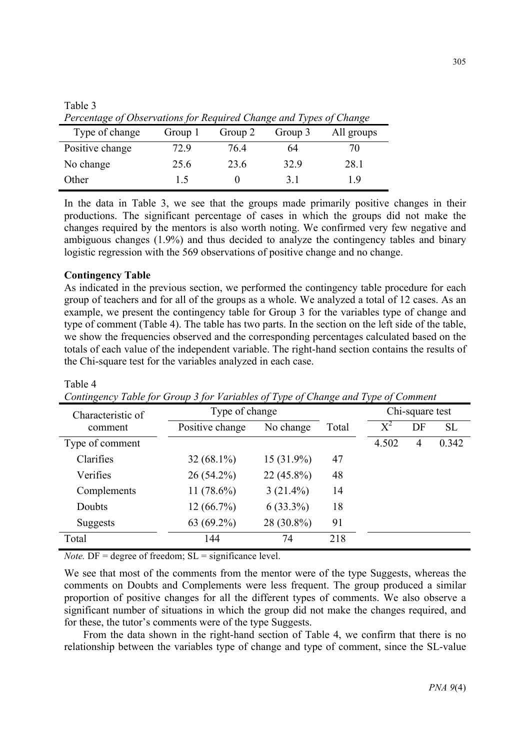| Percentage of Observations for Required Change and Types of Change |         |         |         |            |  |  |  |  |
|--------------------------------------------------------------------|---------|---------|---------|------------|--|--|--|--|
| Type of change                                                     | Group 1 | Group 2 | Group 3 | All groups |  |  |  |  |
| Positive change                                                    | 729     | 764     | 64      | 70         |  |  |  |  |
| No change                                                          | 25.6    | 23.6    | 32.9    | 28.1       |  |  |  |  |
| Other                                                              | 15      |         | 31      | 19         |  |  |  |  |

Table 3 *Percentage of Observations for Required Change and Types of Change*

In the data in Table 3, we see that the groups made primarily positive changes in their productions. The significant percentage of cases in which the groups did not make the changes required by the mentors is also worth noting. We confirmed very few negative and ambiguous changes (1.9%) and thus decided to analyze the contingency tables and binary logistic regression with the 569 observations of positive change and no change.

#### **Contingency Table**

Table 4

As indicated in the previous section, we performed the contingency table procedure for each group of teachers and for all of the groups as a whole. We analyzed a total of 12 cases. As an example, we present the contingency table for Group 3 for the variables type of change and type of comment (Table 4). The table has two parts. In the section on the left side of the table, we show the frequencies observed and the corresponding percentages calculated based on the totals of each value of the independent variable. The right-hand section contains the results of the Chi-square test for the variables analyzed in each case.

| Characteristic of | Type of change  | $\sim$       | $\cdots$ $\sim$ $\cdots$ | $\frac{1}{2}$ $\frac{1}{2}$ $\frac{1}{2}$ $\frac{1}{2}$ $\frac{1}{2}$ $\frac{1}{2}$ $\frac{1}{2}$ $\frac{1}{2}$ $\frac{1}{2}$ $\frac{1}{2}$ $\frac{1}{2}$ $\frac{1}{2}$ $\frac{1}{2}$ $\frac{1}{2}$ $\frac{1}{2}$ $\frac{1}{2}$ $\frac{1}{2}$ $\frac{1}{2}$ $\frac{1}{2}$ $\frac{1}{2}$ $\frac{1}{2}$ $\frac{1}{2}$<br>Chi-square test |    |       |  |
|-------------------|-----------------|--------------|--------------------------|----------------------------------------------------------------------------------------------------------------------------------------------------------------------------------------------------------------------------------------------------------------------------------------------------------------------------------------|----|-------|--|
| comment           | Positive change | No change    | Total                    | $X^2$                                                                                                                                                                                                                                                                                                                                  | DF | SL    |  |
| Type of comment   |                 |              |                          | 4.502                                                                                                                                                                                                                                                                                                                                  | 4  | 0.342 |  |
| Clarifies         | $32(68.1\%)$    | $15(31.9\%)$ | 47                       |                                                                                                                                                                                                                                                                                                                                        |    |       |  |
| Verifies          | $26(54.2\%)$    | $22(45.8\%)$ | 48                       |                                                                                                                                                                                                                                                                                                                                        |    |       |  |
| Complements       | 11 $(78.6\%)$   | $3(21.4\%)$  | 14                       |                                                                                                                                                                                                                                                                                                                                        |    |       |  |
| Doubts            | 12(66.7%)       | $6(33.3\%)$  | 18                       |                                                                                                                                                                                                                                                                                                                                        |    |       |  |
| Suggests          | $63(69.2\%)$    | 28 (30.8%)   | 91                       |                                                                                                                                                                                                                                                                                                                                        |    |       |  |
| Total             | 144             | 74           | 218                      |                                                                                                                                                                                                                                                                                                                                        |    |       |  |

*Contingency Table for Group 3 for Variables of Type of Change and Type of Comment* 

*Note.*  $DF = degree of freedom$ ;  $SL = significance level$ .

We see that most of the comments from the mentor were of the type Suggests, whereas the comments on Doubts and Complements were less frequent. The group produced a similar proportion of positive changes for all the different types of comments. We also observe a significant number of situations in which the group did not make the changes required, and for these, the tutor's comments were of the type Suggests.

From the data shown in the right-hand section of Table 4, we confirm that there is no relationship between the variables type of change and type of comment, since the SL-value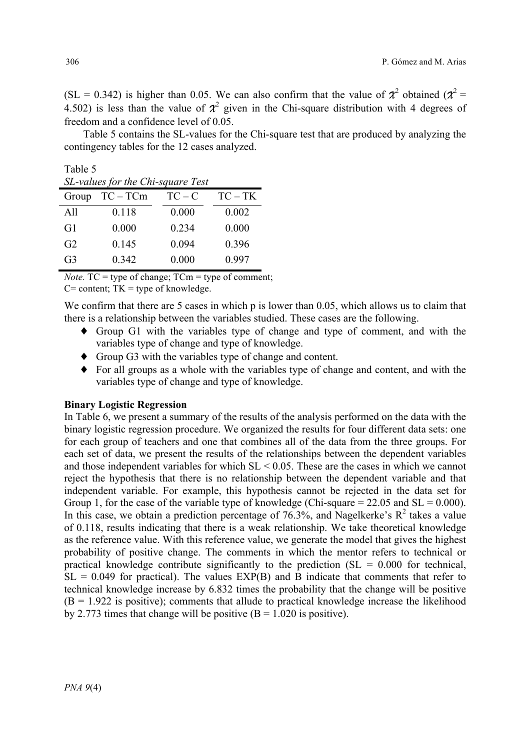$(SL = 0.342)$  is higher than 0.05. We can also confirm that the value of  $\chi^2$  obtained ( $\chi^2$  = 4.502) is less than the value of  $\chi^2$  given in the Chi-square distribution with 4 degrees of freedom and a confidence level of 0.05.

Table 5 contains the SL-values for the Chi-square test that are produced by analyzing the contingency tables for the 12 cases analyzed.

| $TC - TK$ |
|-----------|
| 0.002     |
| 0.000     |
| 0.396     |
| 0.997     |
|           |

*Note.*  $TC =$  type of change;  $TCm =$  type of comment;

 $C=$  content;  $TK =$  type of knowledge.

We confirm that there are 5 cases in which p is lower than 0.05, which allows us to claim that there is a relationship between the variables studied. These cases are the following.

- ♦ Group G1 with the variables type of change and type of comment, and with the variables type of change and type of knowledge.
- ♦ Group G3 with the variables type of change and content.
- ♦ For all groups as a whole with the variables type of change and content, and with the variables type of change and type of knowledge.

#### **Binary Logistic Regression**

In Table 6, we present a summary of the results of the analysis performed on the data with the binary logistic regression procedure. We organized the results for four different data sets: one for each group of teachers and one that combines all of the data from the three groups. For each set of data, we present the results of the relationships between the dependent variables and those independent variables for which SL < 0.05. These are the cases in which we cannot reject the hypothesis that there is no relationship between the dependent variable and that independent variable. For example, this hypothesis cannot be rejected in the data set for Group 1, for the case of the variable type of knowledge (Chi-square  $= 22.05$  and  $SL = 0.000$ ). In this case, we obtain a prediction percentage of  $76.3\%$ , and Nagelkerke's  $R^2$  takes a value of 0.118, results indicating that there is a weak relationship. We take theoretical knowledge as the reference value. With this reference value, we generate the model that gives the highest probability of positive change. The comments in which the mentor refers to technical or practical knowledge contribute significantly to the prediction  $(S<sub>L</sub> = 0.000)$  for technical,  $SL = 0.049$  for practical). The values  $EXP(B)$  and B indicate that comments that refer to technical knowledge increase by 6.832 times the probability that the change will be positive  $(B = 1.922$  is positive); comments that allude to practical knowledge increase the likelihood by 2.773 times that change will be positive  $(B = 1.020$  is positive).

Table 5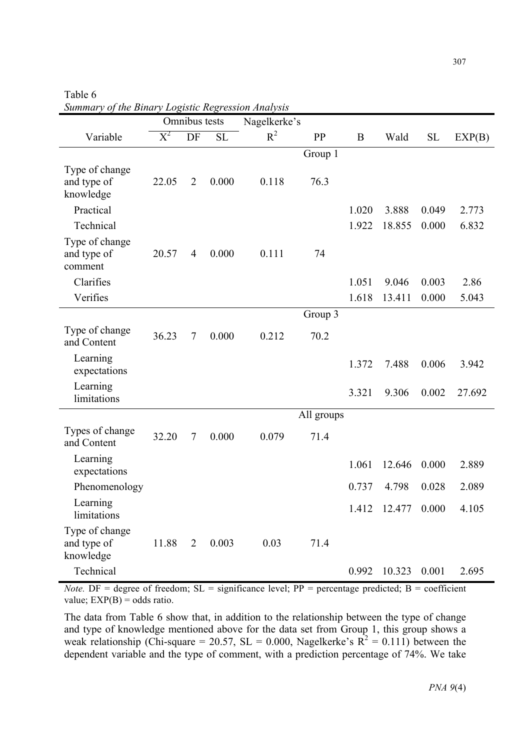Table 6

Variable Omnibus tests Nagelkerke's  $X^2$  DF SL  $R^2$  PP B Wald SL EXP(B) Group 1 Type of change and type of knowledge 22.05 2 0.000 0.118 76.3 Practical 1.020 3.888 0.049 2.773 Technical 1.922 18.855 0.000 6.832 Type of change and type of comment 20.57 4 0.000 0.111 74 Clarifies 1.051 9.046 0.003 2.86 Verifies 1.618 13.411 0.000 5.043 Group 3 Type of change and Content 36.23 7 0.000 0.212 70.2 Learning expectations 1.372 7.488 0.006 3.942 Learning limitations 3.321 9.306 0.002 27.692 All groups Types of change and Content 32.20 7 0.000 0.079 71.4 Learning expectations 1.061 12.646 0.000 2.889 Phenomenology 0.737 4.798 0.028 2.089 Learning Learning 1.412 12.477 0.000 4.105 Type of change and type of knowledge 11.88 2 0.003 0.03 71.4 Technical 0.992 10.323 0.001 2.695

|  |  | Summary of the Binary Logistic Regression Analysis |  |
|--|--|----------------------------------------------------|--|

*Note.* DF = degree of freedom;  $SL =$  significance level;  $PP =$  percentage predicted;  $B =$  coefficient value;  $EXP(B) = odds ratio.$ 

The data from Table 6 show that, in addition to the relationship between the type of change and type of knowledge mentioned above for the data set from Group 1, this group shows a weak relationship (Chi-square = 20.57, SL = 0.000, Nagelkerke's  $R^2 = 0.111$ ) between the dependent variable and the type of comment, with a prediction percentage of 74%. We take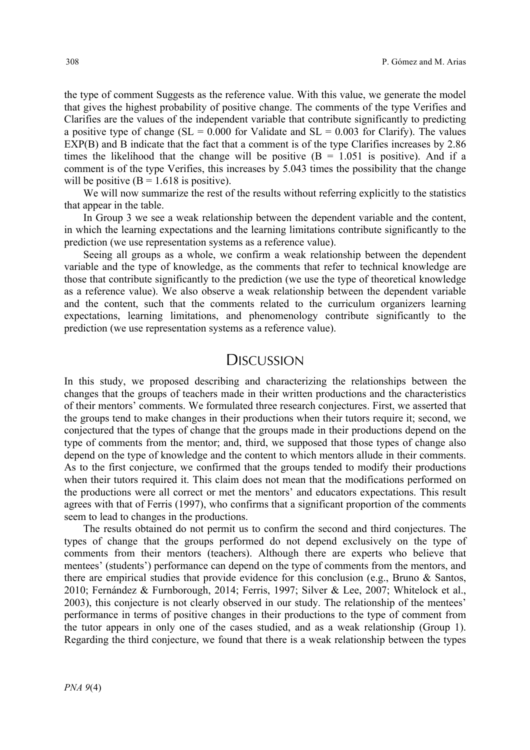the type of comment Suggests as the reference value. With this value, we generate the model that gives the highest probability of positive change. The comments of the type Verifies and Clarifies are the values of the independent variable that contribute significantly to predicting a positive type of change ( $SL = 0.000$  for Validate and  $SL = 0.003$  for Clarify). The values EXP(B) and B indicate that the fact that a comment is of the type Clarifies increases by 2.86 times the likelihood that the change will be positive  $(B = 1.051$  is positive). And if a comment is of the type Verifies, this increases by 5.043 times the possibility that the change will be positive  $(B = 1.618$  is positive).

We will now summarize the rest of the results without referring explicitly to the statistics that appear in the table.

In Group 3 we see a weak relationship between the dependent variable and the content, in which the learning expectations and the learning limitations contribute significantly to the prediction (we use representation systems as a reference value).

Seeing all groups as a whole, we confirm a weak relationship between the dependent variable and the type of knowledge, as the comments that refer to technical knowledge are those that contribute significantly to the prediction (we use the type of theoretical knowledge as a reference value). We also observe a weak relationship between the dependent variable and the content, such that the comments related to the curriculum organizers learning expectations, learning limitations, and phenomenology contribute significantly to the prediction (we use representation systems as a reference value).

## **DISCUSSION**

In this study, we proposed describing and characterizing the relationships between the changes that the groups of teachers made in their written productions and the characteristics of their mentors' comments. We formulated three research conjectures. First, we asserted that the groups tend to make changes in their productions when their tutors require it; second, we conjectured that the types of change that the groups made in their productions depend on the type of comments from the mentor; and, third, we supposed that those types of change also depend on the type of knowledge and the content to which mentors allude in their comments. As to the first conjecture, we confirmed that the groups tended to modify their productions when their tutors required it. This claim does not mean that the modifications performed on the productions were all correct or met the mentors' and educators expectations. This result agrees with that of Ferris (1997), who confirms that a significant proportion of the comments seem to lead to changes in the productions.

The results obtained do not permit us to confirm the second and third conjectures. The types of change that the groups performed do not depend exclusively on the type of comments from their mentors (teachers). Although there are experts who believe that mentees' (students') performance can depend on the type of comments from the mentors, and there are empirical studies that provide evidence for this conclusion (e.g., Bruno & Santos, 2010; Fernández & Furnborough, 2014; Ferris, 1997; Silver & Lee, 2007; Whitelock et al., 2003), this conjecture is not clearly observed in our study. The relationship of the mentees' performance in terms of positive changes in their productions to the type of comment from the tutor appears in only one of the cases studied, and as a weak relationship (Group 1). Regarding the third conjecture, we found that there is a weak relationship between the types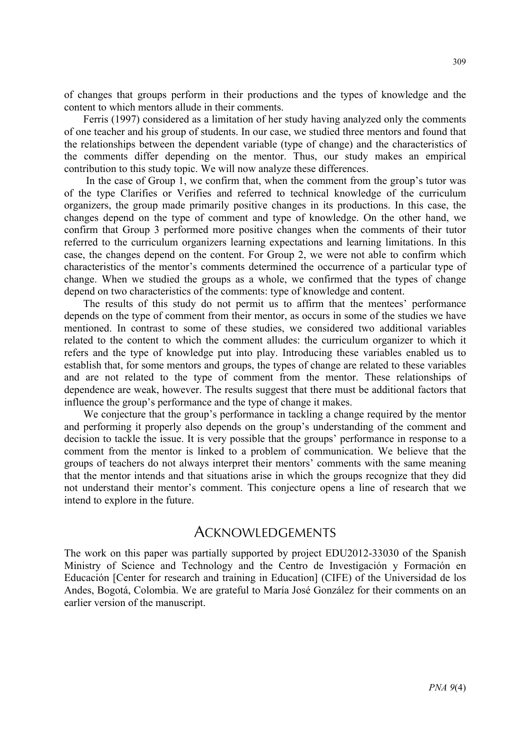of changes that groups perform in their productions and the types of knowledge and the content to which mentors allude in their comments.

Ferris (1997) considered as a limitation of her study having analyzed only the comments of one teacher and his group of students. In our case, we studied three mentors and found that the relationships between the dependent variable (type of change) and the characteristics of the comments differ depending on the mentor. Thus, our study makes an empirical contribution to this study topic. We will now analyze these differences.

In the case of Group 1, we confirm that, when the comment from the group's tutor was of the type Clarifies or Verifies and referred to technical knowledge of the curriculum organizers, the group made primarily positive changes in its productions. In this case, the changes depend on the type of comment and type of knowledge. On the other hand, we confirm that Group 3 performed more positive changes when the comments of their tutor referred to the curriculum organizers learning expectations and learning limitations. In this case, the changes depend on the content. For Group 2, we were not able to confirm which characteristics of the mentor's comments determined the occurrence of a particular type of change. When we studied the groups as a whole, we confirmed that the types of change depend on two characteristics of the comments: type of knowledge and content.

The results of this study do not permit us to affirm that the mentees' performance depends on the type of comment from their mentor, as occurs in some of the studies we have mentioned. In contrast to some of these studies, we considered two additional variables related to the content to which the comment alludes: the curriculum organizer to which it refers and the type of knowledge put into play. Introducing these variables enabled us to establish that, for some mentors and groups, the types of change are related to these variables and are not related to the type of comment from the mentor. These relationships of dependence are weak, however. The results suggest that there must be additional factors that influence the group's performance and the type of change it makes.

We conjecture that the group's performance in tackling a change required by the mentor and performing it properly also depends on the group's understanding of the comment and decision to tackle the issue. It is very possible that the groups' performance in response to a comment from the mentor is linked to a problem of communication. We believe that the groups of teachers do not always interpret their mentors' comments with the same meaning that the mentor intends and that situations arise in which the groups recognize that they did not understand their mentor's comment. This conjecture opens a line of research that we intend to explore in the future.

## ACKNOWLEDGEMENTS

The work on this paper was partially supported by project EDU2012-33030 of the Spanish Ministry of Science and Technology and the Centro de Investigación y Formación en Educación [Center for research and training in Education] (CIFE) of the Universidad de los Andes, Bogotá, Colombia. We are grateful to María José González for their comments on an earlier version of the manuscript.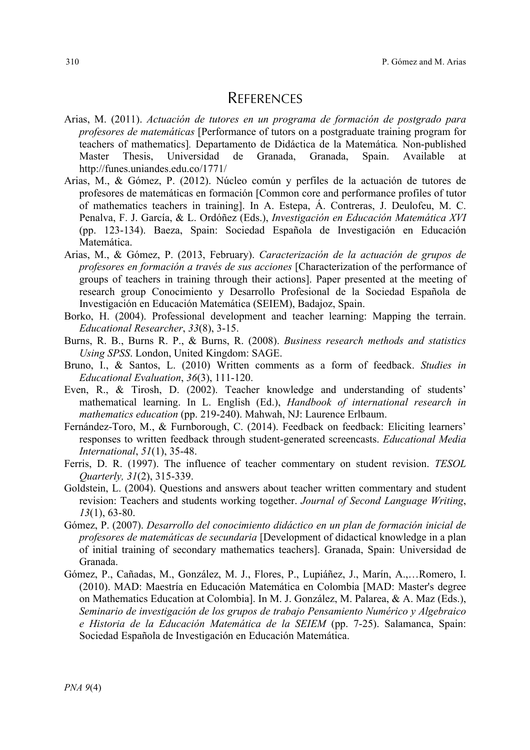# **REFERENCES**

- Arias, M. (2011). *Actuación de tutores en un programa de formación de postgrado para profesores de matemáticas* [Performance of tutors on a postgraduate training program for teachers of mathematics]*.* Departamento de Didáctica de la Matemática*.* Non-published Master Thesis, Universidad de Granada, Granada, Spain. Available at http://funes.uniandes.edu.co/1771/
- Arias, M., & Gómez, P. (2012). Núcleo común y perfiles de la actuación de tutores de profesores de matemáticas en formación [Common core and performance profiles of tutor of mathematics teachers in training]. In A. Estepa, Á. Contreras, J. Deulofeu, M. C. Penalva, F. J. García, & L. Ordóñez (Eds.), *Investigación en Educación Matemática XVI* (pp. 123-134). Baeza, Spain: Sociedad Española de Investigación en Educación Matemática.
- Arias, M., & Gómez, P. (2013, February). *Caracterización de la actuación de grupos de profesores en formación a través de sus acciones* [Characterization of the performance of groups of teachers in training through their actions]. Paper presented at the meeting of research group Conocimiento y Desarrollo Profesional de la Sociedad Española de Investigación en Educación Matemática (SEIEM), Badajoz, Spain.
- Borko, H. (2004). Professional development and teacher learning: Mapping the terrain. *Educational Researcher*, *33*(8), 3-15.
- Burns, R. B., Burns R. P., & Burns, R. (2008). *Business research methods and statistics Using SPSS*. London, United Kingdom: SAGE.
- Bruno, I., & Santos, L. (2010) Written comments as a form of feedback. *Studies in Educational Evaluation*, *36*(3), 111-120.
- Even, R., & Tirosh, D. (2002). Teacher knowledge and understanding of students' mathematical learning. In L. English (Ed.), *Handbook of international research in mathematics education* (pp. 219-240). Mahwah, NJ: Laurence Erlbaum.
- Fernández-Toro, M., & Furnborough, C. (2014). Feedback on feedback: Eliciting learners' responses to written feedback through student-generated screencasts. *Educational Media International*, *51*(1), 35-48.
- Ferris, D. R. (1997). The influence of teacher commentary on student revision. *TESOL Quarterly, 31*(2), 315-339.
- Goldstein, L. (2004). Questions and answers about teacher written commentary and student revision: Teachers and students working together. *Journal of Second Language Writing*, *13*(1), 63-80.
- Gómez, P. (2007). *Desarrollo del conocimiento didáctico en un plan de formación inicial de profesores de matemáticas de secundaria* [Development of didactical knowledge in a plan of initial training of secondary mathematics teachers]. Granada, Spain: Universidad de Granada.
- Gómez, P., Cañadas, M., González, M. J., Flores, P., Lupiáñez, J., Marín, A.,…Romero, I. (2010). MAD: Maestría en Educación Matemática en Colombia [MAD: Master's degree on Mathematics Education at Colombia]. In M. J. González, M. Palarea, & A. Maz (Eds.), *Seminario de investigación de los grupos de trabajo Pensamiento Numérico y Algebraico e Historia de la Educación Matemática de la SEIEM* (pp. 7-25). Salamanca, Spain: Sociedad Española de Investigación en Educación Matemática.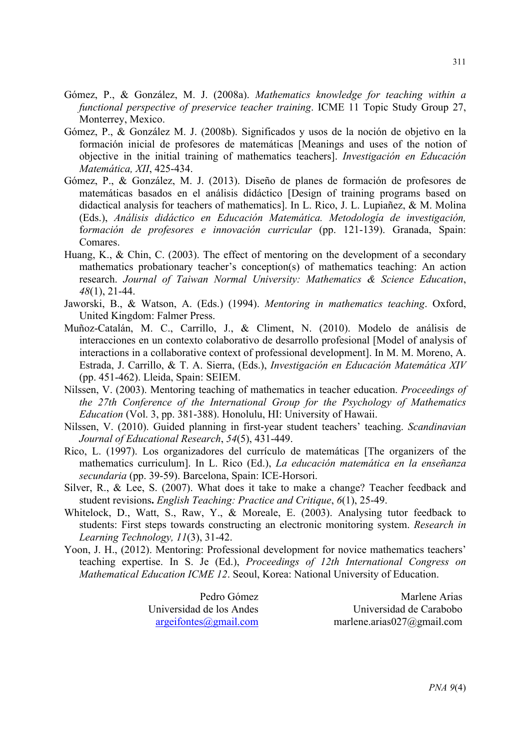- Gómez, P., & González, M. J. (2008a). *Mathematics knowledge for teaching within a functional perspective of preservice teacher training*. ICME 11 Topic Study Group 27, Monterrey, Mexico.
- Gómez, P., & González M. J. (2008b). Significados y usos de la noción de objetivo en la formación inicial de profesores de matemáticas [Meanings and uses of the notion of objective in the initial training of mathematics teachers]. *Investigación en Educación Matemática, XII*, 425-434.
- Gómez, P., & González, M. J. (2013). Diseño de planes de formación de profesores de matemáticas basados en el análisis didáctico [Design of training programs based on didactical analysis for teachers of mathematics]. In L. Rico, J. L. Lupiañez, & M. Molina (Eds.), *Análisis didáctico en Educación Matemática. Metodología de investigación,* f*ormación de profesores e innovación curricular* (pp. 121-139). Granada, Spain: Comares.
- Huang, K., & Chin, C. (2003). The effect of mentoring on the development of a secondary mathematics probationary teacher's conception(s) of mathematics teaching: An action research. *Journal of Taiwan Normal University: Mathematics & Science Education*, *48*(1), 21-44.
- Jaworski, B., & Watson, A. (Eds.) (1994). *Mentoring in mathematics teaching*. Oxford, United Kingdom: Falmer Press.
- Muñoz-Catalán, M. C., Carrillo, J., & Climent, N. (2010). Modelo de análisis de interacciones en un contexto colaborativo de desarrollo profesional [Model of analysis of interactions in a collaborative context of professional development]. In M. M. Moreno, A. Estrada, J. Carrillo, & T. A. Sierra, (Eds.), *Investigación en Educación Matemática XIV*  (pp. 451-462). Lleida, Spain: SEIEM.
- Nilssen, V. (2003). Mentoring teaching of mathematics in teacher education. *Proceedings of the 27th Conference of the International Group for the Psychology of Mathematics Education* (Vol. 3, pp. 381-388). Honolulu, HI: University of Hawaii.
- Nilssen, V. (2010). Guided planning in first-year student teachers' teaching. *Scandinavian Journal of Educational Research*, *54*(5), 431-449.
- Rico, L. (1997). Los organizadores del currículo de matemáticas [The organizers of the mathematics curriculum]. In L. Rico (Ed.), *La educación matemática en la enseñanza secundaria* (pp. 39-59). Barcelona, Spain: ICE-Horsori.
- Silver, R., & Lee, S. (2007). What does it take to make a change? Teacher feedback and student revisions**.** *English Teaching: Practice and Critique*, *6*(1), 25-49.
- Whitelock, D., Watt, S., Raw, Y., & Moreale, E. (2003). Analysing tutor feedback to students: First steps towards constructing an electronic monitoring system. *Research in Learning Technology, 11*(3), 31-42.
- Yoon, J. H., (2012). Mentoring: Professional development for novice mathematics teachers' teaching expertise. In S. Je (Ed.), *Proceedings of 12th International Congress on Mathematical Education ICME 12*. Seoul, Korea: National University of Education.

Pedro Gómez Universidad de los Andes argeifontes@gmail.com

Marlene Arias Universidad de Carabobo marlene.arias027@gmail.com